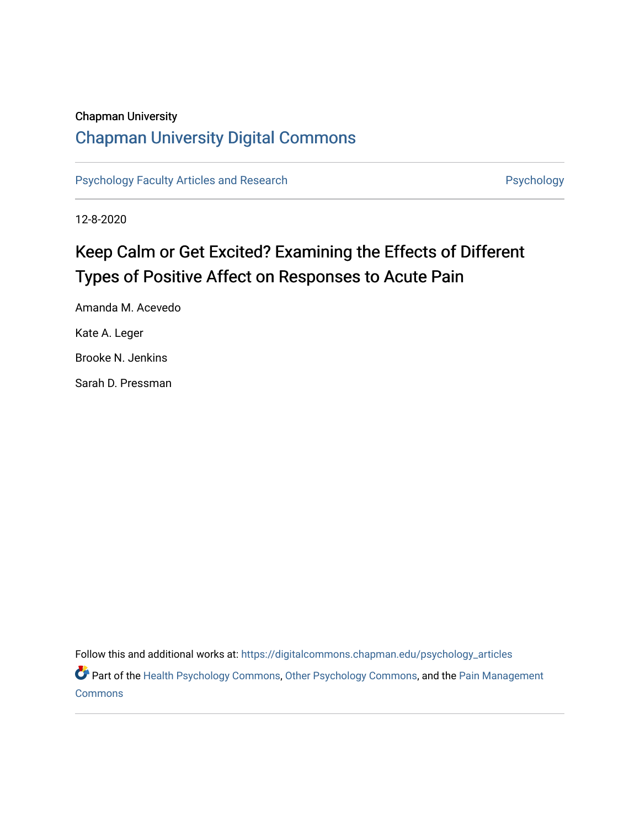# Chapman University

# [Chapman University Digital Commons](https://digitalcommons.chapman.edu/)

[Psychology Faculty Articles and Research](https://digitalcommons.chapman.edu/psychology_articles) **Psychology** Psychology

12-8-2020

# Keep Calm or Get Excited? Examining the Effects of Different Types of Positive Affect on Responses to Acute Pain

Amanda M. Acevedo Kate A. Leger Brooke N. Jenkins Sarah D. Pressman

Follow this and additional works at: [https://digitalcommons.chapman.edu/psychology\\_articles](https://digitalcommons.chapman.edu/psychology_articles?utm_source=digitalcommons.chapman.edu%2Fpsychology_articles%2F236&utm_medium=PDF&utm_campaign=PDFCoverPages)

Part of the [Health Psychology Commons](http://network.bepress.com/hgg/discipline/411?utm_source=digitalcommons.chapman.edu%2Fpsychology_articles%2F236&utm_medium=PDF&utm_campaign=PDFCoverPages), [Other Psychology Commons](http://network.bepress.com/hgg/discipline/415?utm_source=digitalcommons.chapman.edu%2Fpsychology_articles%2F236&utm_medium=PDF&utm_campaign=PDFCoverPages), and the [Pain Management](http://network.bepress.com/hgg/discipline/1274?utm_source=digitalcommons.chapman.edu%2Fpsychology_articles%2F236&utm_medium=PDF&utm_campaign=PDFCoverPages) [Commons](http://network.bepress.com/hgg/discipline/1274?utm_source=digitalcommons.chapman.edu%2Fpsychology_articles%2F236&utm_medium=PDF&utm_campaign=PDFCoverPages)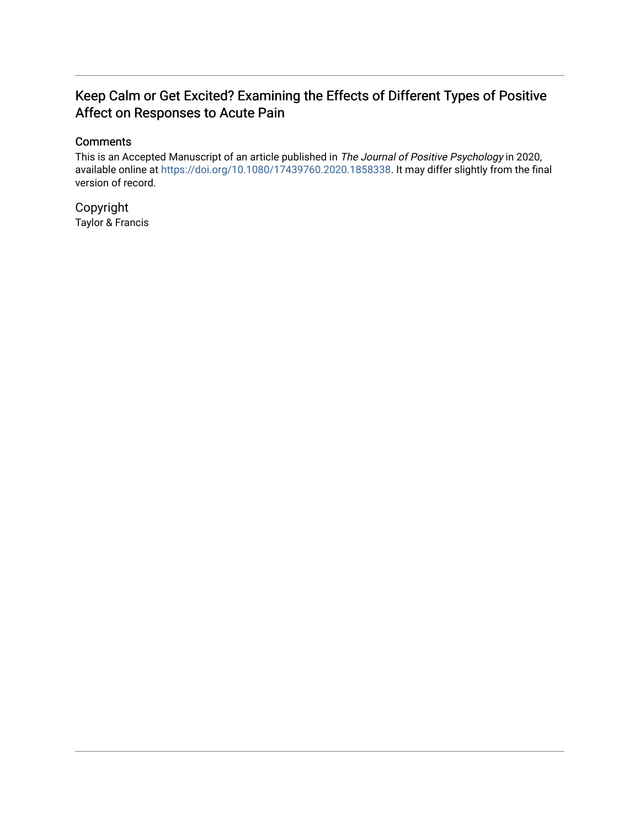# Keep Calm or Get Excited? Examining the Effects of Different Types of Positive Affect on Responses to Acute Pain

# **Comments**

This is an Accepted Manuscript of an article published in The Journal of Positive Psychology in 2020, available online at<https://doi.org/10.1080/17439760.2020.1858338>. It may differ slightly from the final version of record.

Copyright Taylor & Francis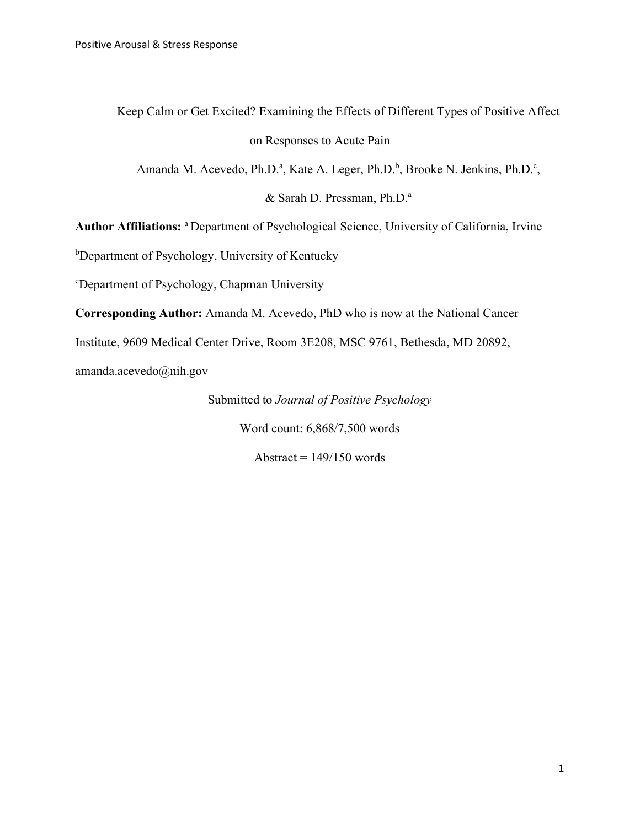Keep Calm or Get Excited? Examining the Effects of Different Types of Positive Affect

# on Responses to Acute Pain

Amanda M. Acevedo, Ph.D.<sup>a</sup>, Kate A. Leger, Ph.D.<sup>b</sup>, Brooke N. Jenkins, Ph.D.<sup>c</sup>,

& Sarah D. Pressman, Ph.D.<sup>a</sup>

**Author Affiliations:** a Department of Psychological Science, University of California, Irvine

<sup>b</sup>Department of Psychology, University of Kentucky

c Department of Psychology, Chapman University

**Corresponding Author:** Amanda M. Acevedo, PhD who is now at the National Cancer

Institute, 9609 Medical Center Drive, Room 3E208, MSC 9761, Bethesda, MD 20892,

amanda.acevedo@nih.gov

Submitted to *Journal of Positive Psychology*

Word count: 6,868/7,500 words

Abstract  $= 149/150$  words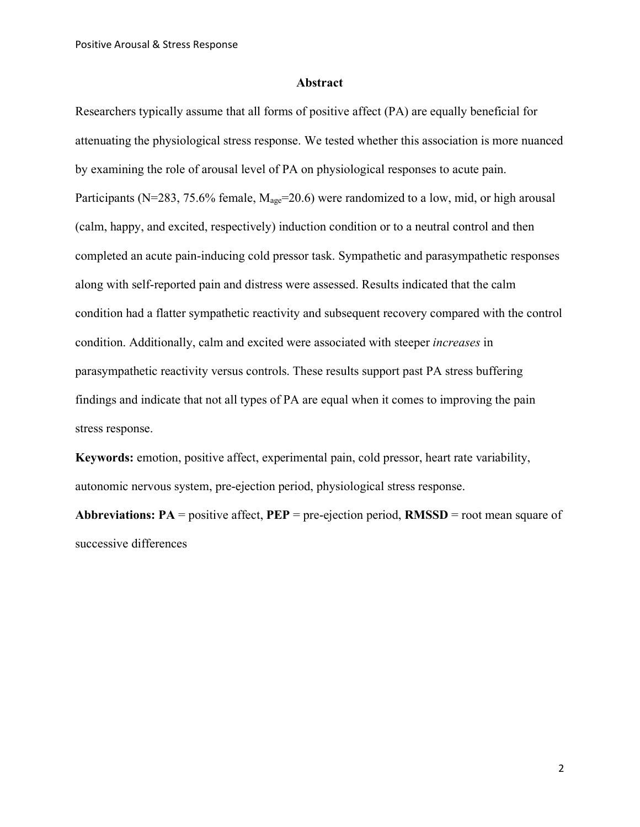#### **Abstract**

Researchers typically assume that all forms of positive affect (PA) are equally beneficial for attenuating the physiological stress response. We tested whether this association is more nuanced by examining the role of arousal level of PA on physiological responses to acute pain. Participants (N=283, 75.6% female,  $M_{\text{age}}$ =20.6) were randomized to a low, mid, or high arousal (calm, happy, and excited, respectively) induction condition or to a neutral control and then completed an acute pain-inducing cold pressor task. Sympathetic and parasympathetic responses along with self-reported pain and distress were assessed. Results indicated that the calm condition had a flatter sympathetic reactivity and subsequent recovery compared with the control condition. Additionally, calm and excited were associated with steeper *increases* in parasympathetic reactivity versus controls. These results support past PA stress buffering findings and indicate that not all types of PA are equal when it comes to improving the pain stress response.

**Keywords:** emotion, positive affect, experimental pain, cold pressor, heart rate variability, autonomic nervous system, pre-ejection period, physiological stress response.

**Abbreviations: PA** = positive affect, **PEP** = pre-ejection period, **RMSSD** = root mean square of successive differences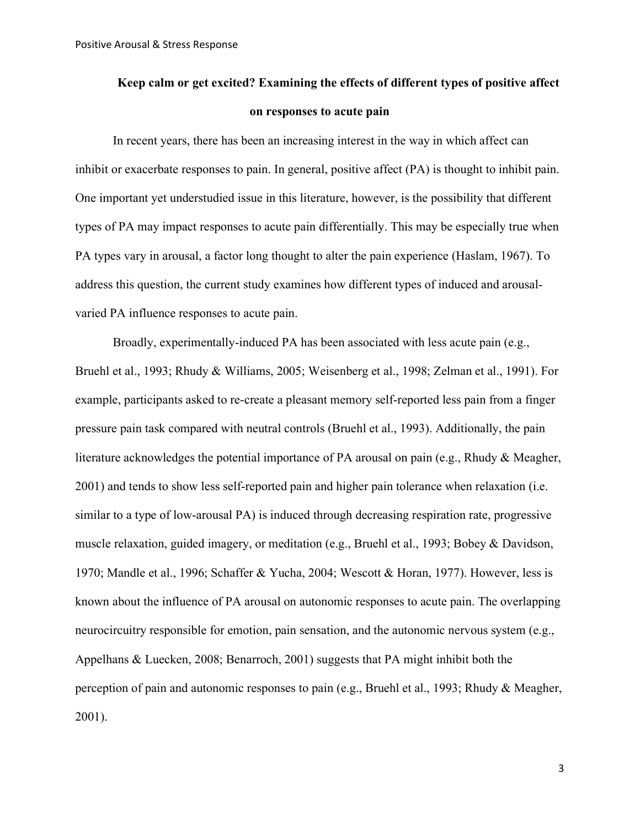# **Keep calm or get excited? Examining the effects of different types of positive affect on responses to acute pain**

In recent years, there has been an increasing interest in the way in which affect can inhibit or exacerbate responses to pain. In general, positive affect (PA) is thought to inhibit pain. One important yet understudied issue in this literature, however, is the possibility that different types of PA may impact responses to acute pain differentially. This may be especially true when PA types vary in arousal, a factor long thought to alter the pain experience (Haslam, 1967). To address this question, the current study examines how different types of induced and arousalvaried PA influence responses to acute pain.

Broadly, experimentally-induced PA has been associated with less acute pain (e.g., Bruehl et al., 1993; Rhudy & Williams, 2005; Weisenberg et al., 1998; Zelman et al., 1991). For example, participants asked to re-create a pleasant memory self-reported less pain from a finger pressure pain task compared with neutral controls (Bruehl et al., 1993). Additionally, the pain literature acknowledges the potential importance of PA arousal on pain (e.g., Rhudy & Meagher, 2001) and tends to show less self-reported pain and higher pain tolerance when relaxation (i.e. similar to a type of low-arousal PA) is induced through decreasing respiration rate, progressive muscle relaxation, guided imagery, or meditation (e.g., Bruehl et al., 1993; Bobey & Davidson, 1970; Mandle et al., 1996; Schaffer & Yucha, 2004; Wescott & Horan, 1977). However, less is known about the influence of PA arousal on autonomic responses to acute pain. The overlapping neurocircuitry responsible for emotion, pain sensation, and the autonomic nervous system (e.g., Appelhans & Luecken, 2008; Benarroch, 2001) suggests that PA might inhibit both the perception of pain and autonomic responses to pain (e.g., Bruehl et al., 1993; Rhudy & Meagher, 2001).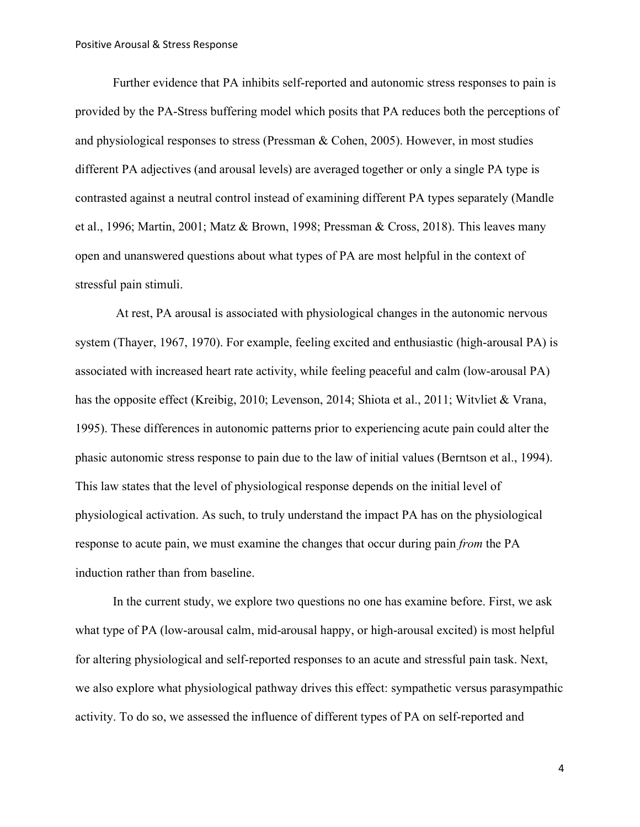Further evidence that PA inhibits self-reported and autonomic stress responses to pain is provided by the PA-Stress buffering model which posits that PA reduces both the perceptions of and physiological responses to stress (Pressman & Cohen, 2005). However, in most studies different PA adjectives (and arousal levels) are averaged together or only a single PA type is contrasted against a neutral control instead of examining different PA types separately (Mandle et al., 1996; Martin, 2001; Matz & Brown, 1998; Pressman & Cross, 2018). This leaves many open and unanswered questions about what types of PA are most helpful in the context of stressful pain stimuli.

At rest, PA arousal is associated with physiological changes in the autonomic nervous system (Thayer, 1967, 1970). For example, feeling excited and enthusiastic (high-arousal PA) is associated with increased heart rate activity, while feeling peaceful and calm (low-arousal PA) has the opposite effect (Kreibig, 2010; Levenson, 2014; Shiota et al., 2011; Witvliet & Vrana, 1995). These differences in autonomic patterns prior to experiencing acute pain could alter the phasic autonomic stress response to pain due to the law of initial values (Berntson et al., 1994). This law states that the level of physiological response depends on the initial level of physiological activation. As such, to truly understand the impact PA has on the physiological response to acute pain, we must examine the changes that occur during pain *from* the PA induction rather than from baseline.

In the current study, we explore two questions no one has examine before. First, we ask what type of PA (low-arousal calm, mid-arousal happy, or high-arousal excited) is most helpful for altering physiological and self-reported responses to an acute and stressful pain task. Next, we also explore what physiological pathway drives this effect: sympathetic versus parasympathic activity. To do so, we assessed the influence of different types of PA on self-reported and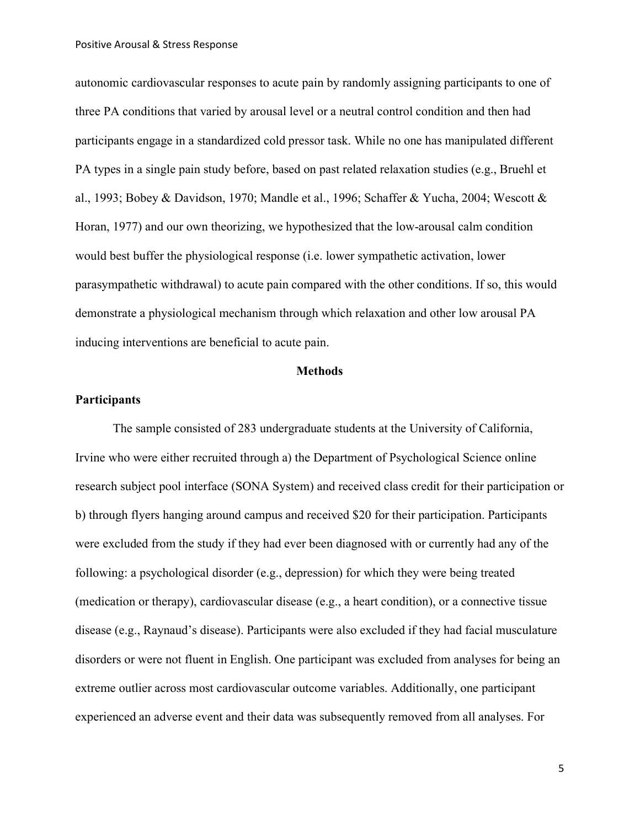autonomic cardiovascular responses to acute pain by randomly assigning participants to one of three PA conditions that varied by arousal level or a neutral control condition and then had participants engage in a standardized cold pressor task. While no one has manipulated different PA types in a single pain study before, based on past related relaxation studies (e.g., Bruehl et al., 1993; Bobey & Davidson, 1970; Mandle et al., 1996; Schaffer & Yucha, 2004; Wescott & Horan, 1977) and our own theorizing, we hypothesized that the low-arousal calm condition would best buffer the physiological response (i.e. lower sympathetic activation, lower parasympathetic withdrawal) to acute pain compared with the other conditions. If so, this would demonstrate a physiological mechanism through which relaxation and other low arousal PA inducing interventions are beneficial to acute pain.

#### **Methods**

## **Participants**

The sample consisted of 283 undergraduate students at the University of California, Irvine who were either recruited through a) the Department of Psychological Science online research subject pool interface (SONA System) and received class credit for their participation or b) through flyers hanging around campus and received \$20 for their participation. Participants were excluded from the study if they had ever been diagnosed with or currently had any of the following: a psychological disorder (e.g., depression) for which they were being treated (medication or therapy), cardiovascular disease (e.g., a heart condition), or a connective tissue disease (e.g., Raynaud's disease). Participants were also excluded if they had facial musculature disorders or were not fluent in English. One participant was excluded from analyses for being an extreme outlier across most cardiovascular outcome variables. Additionally, one participant experienced an adverse event and their data was subsequently removed from all analyses. For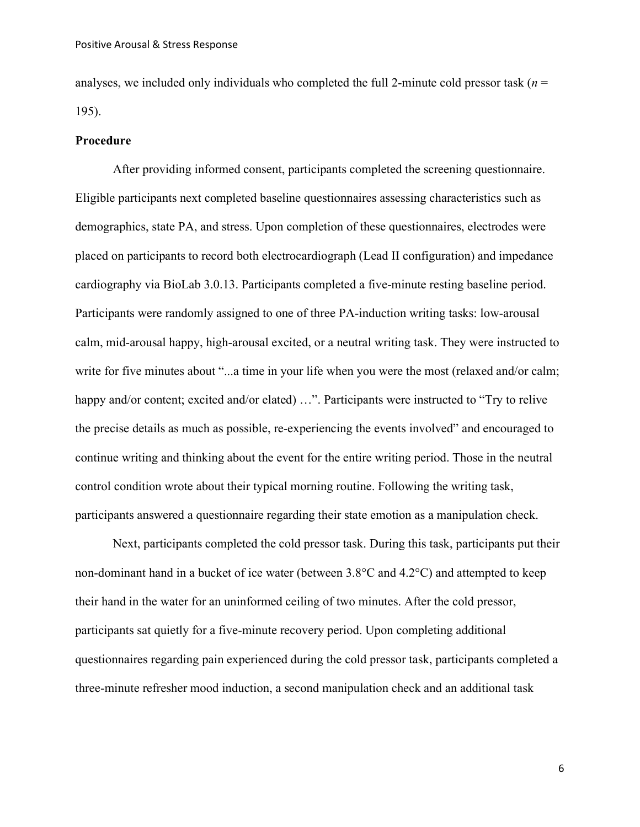analyses, we included only individuals who completed the full 2-minute cold pressor task (*n* = 195).

#### **Procedure**

After providing informed consent, participants completed the screening questionnaire. Eligible participants next completed baseline questionnaires assessing characteristics such as demographics, state PA, and stress. Upon completion of these questionnaires, electrodes were placed on participants to record both electrocardiograph (Lead II configuration) and impedance cardiography via BioLab 3.0.13. Participants completed a five-minute resting baseline period. Participants were randomly assigned to one of three PA-induction writing tasks: low-arousal calm, mid-arousal happy, high-arousal excited, or a neutral writing task. They were instructed to write for five minutes about "...a time in your life when you were the most (relaxed and/or calm; happy and/or content; excited and/or elated) ...". Participants were instructed to "Try to relive the precise details as much as possible, re-experiencing the events involved" and encouraged to continue writing and thinking about the event for the entire writing period. Those in the neutral control condition wrote about their typical morning routine. Following the writing task, participants answered a questionnaire regarding their state emotion as a manipulation check.

Next, participants completed the cold pressor task. During this task, participants put their non-dominant hand in a bucket of ice water (between 3.8°C and 4.2°C) and attempted to keep their hand in the water for an uninformed ceiling of two minutes. After the cold pressor, participants sat quietly for a five-minute recovery period. Upon completing additional questionnaires regarding pain experienced during the cold pressor task, participants completed a three-minute refresher mood induction, a second manipulation check and an additional task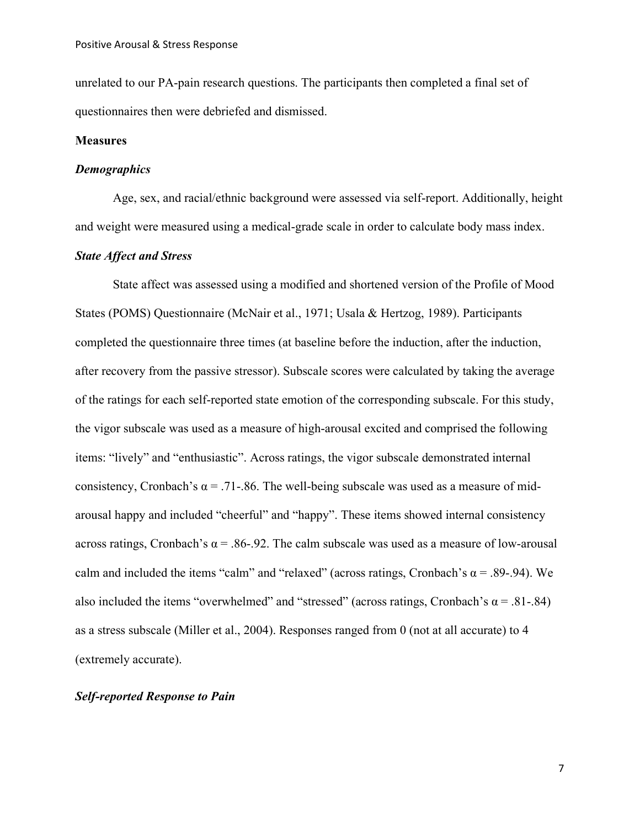unrelated to our PA-pain research questions. The participants then completed a final set of questionnaires then were debriefed and dismissed.

# **Measures**

#### *Demographics*

Age, sex, and racial/ethnic background were assessed via self-report. Additionally, height and weight were measured using a medical-grade scale in order to calculate body mass index.

# *State Affect and Stress*

State affect was assessed using a modified and shortened version of the Profile of Mood States (POMS) Questionnaire (McNair et al., 1971; Usala & Hertzog, 1989). Participants completed the questionnaire three times (at baseline before the induction, after the induction, after recovery from the passive stressor). Subscale scores were calculated by taking the average of the ratings for each self-reported state emotion of the corresponding subscale. For this study, the vigor subscale was used as a measure of high-arousal excited and comprised the following items: "lively" and "enthusiastic". Across ratings, the vigor subscale demonstrated internal consistency, Cronbach's  $\alpha$  = .71-.86. The well-being subscale was used as a measure of midarousal happy and included "cheerful" and "happy". These items showed internal consistency across ratings, Cronbach's  $\alpha$  = .86-.92. The calm subscale was used as a measure of low-arousal calm and included the items "calm" and "relaxed" (across ratings, Cronbach's  $\alpha$  = .89-.94). We also included the items "overwhelmed" and "stressed" (across ratings, Cronbach's  $\alpha$  = .81-.84) as a stress subscale (Miller et al., 2004). Responses ranged from 0 (not at all accurate) to 4 (extremely accurate).

# *Self-reported Response to Pain*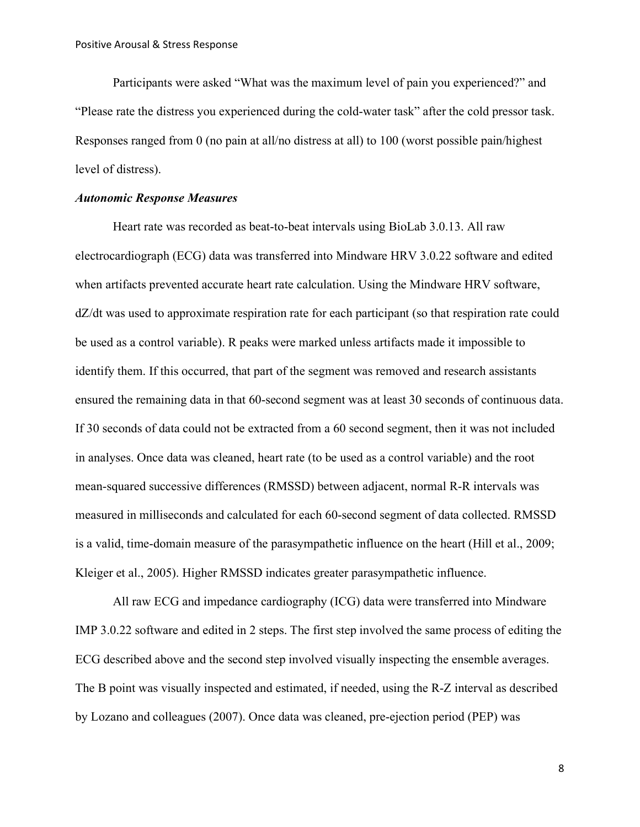Participants were asked "What was the maximum level of pain you experienced?" and "Please rate the distress you experienced during the cold-water task" after the cold pressor task. Responses ranged from 0 (no pain at all/no distress at all) to 100 (worst possible pain/highest level of distress).

## *Autonomic Response Measures*

Heart rate was recorded as beat-to-beat intervals using BioLab 3.0.13. All raw electrocardiograph (ECG) data was transferred into Mindware HRV 3.0.22 software and edited when artifacts prevented accurate heart rate calculation. Using the Mindware HRV software, dZ/dt was used to approximate respiration rate for each participant (so that respiration rate could be used as a control variable). R peaks were marked unless artifacts made it impossible to identify them. If this occurred, that part of the segment was removed and research assistants ensured the remaining data in that 60-second segment was at least 30 seconds of continuous data. If 30 seconds of data could not be extracted from a 60 second segment, then it was not included in analyses. Once data was cleaned, heart rate (to be used as a control variable) and the root mean-squared successive differences (RMSSD) between adjacent, normal R-R intervals was measured in milliseconds and calculated for each 60-second segment of data collected. RMSSD is a valid, time-domain measure of the parasympathetic influence on the heart (Hill et al., 2009; Kleiger et al., 2005). Higher RMSSD indicates greater parasympathetic influence.

All raw ECG and impedance cardiography (ICG) data were transferred into Mindware IMP 3.0.22 software and edited in 2 steps. The first step involved the same process of editing the ECG described above and the second step involved visually inspecting the ensemble averages. The B point was visually inspected and estimated, if needed, using the R-Z interval as described by Lozano and colleagues (2007). Once data was cleaned, pre-ejection period (PEP) was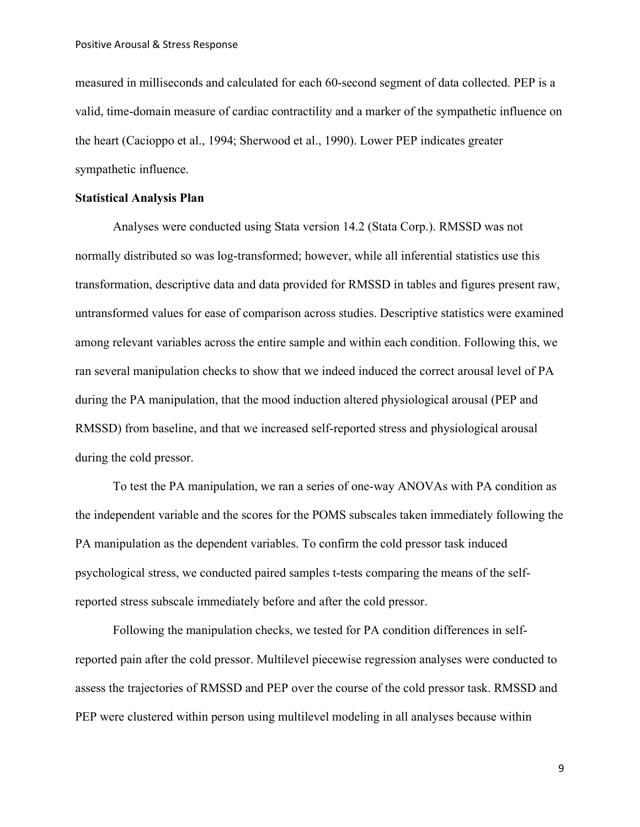measured in milliseconds and calculated for each 60-second segment of data collected. PEP is a valid, time-domain measure of cardiac contractility and a marker of the sympathetic influence on the heart (Cacioppo et al., 1994; Sherwood et al., 1990). Lower PEP indicates greater sympathetic influence.

#### **Statistical Analysis Plan**

Analyses were conducted using Stata version 14.2 (Stata Corp.). RMSSD was not normally distributed so was log-transformed; however, while all inferential statistics use this transformation, descriptive data and data provided for RMSSD in tables and figures present raw, untransformed values for ease of comparison across studies. Descriptive statistics were examined among relevant variables across the entire sample and within each condition. Following this, we ran several manipulation checks to show that we indeed induced the correct arousal level of PA during the PA manipulation, that the mood induction altered physiological arousal (PEP and RMSSD) from baseline, and that we increased self-reported stress and physiological arousal during the cold pressor.

To test the PA manipulation, we ran a series of one-way ANOVAs with PA condition as the independent variable and the scores for the POMS subscales taken immediately following the PA manipulation as the dependent variables. To confirm the cold pressor task induced psychological stress, we conducted paired samples t-tests comparing the means of the selfreported stress subscale immediately before and after the cold pressor.

Following the manipulation checks, we tested for PA condition differences in selfreported pain after the cold pressor. Multilevel piecewise regression analyses were conducted to assess the trajectories of RMSSD and PEP over the course of the cold pressor task. RMSSD and PEP were clustered within person using multilevel modeling in all analyses because within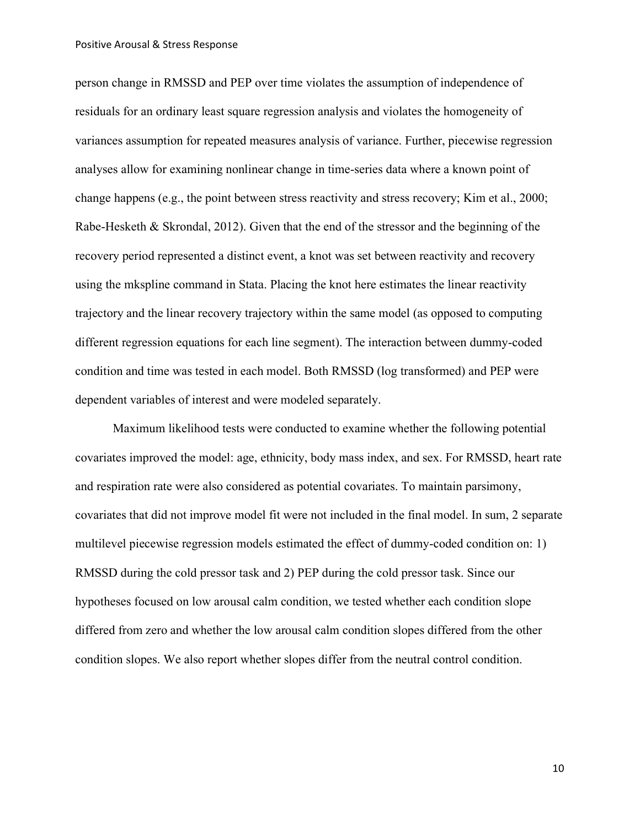person change in RMSSD and PEP over time violates the assumption of independence of residuals for an ordinary least square regression analysis and violates the homogeneity of variances assumption for repeated measures analysis of variance. Further, piecewise regression analyses allow for examining nonlinear change in time-series data where a known point of change happens (e.g., the point between stress reactivity and stress recovery; Kim et al., 2000; Rabe-Hesketh & Skrondal, 2012). Given that the end of the stressor and the beginning of the recovery period represented a distinct event, a knot was set between reactivity and recovery using the mkspline command in Stata. Placing the knot here estimates the linear reactivity trajectory and the linear recovery trajectory within the same model (as opposed to computing different regression equations for each line segment). The interaction between dummy-coded condition and time was tested in each model. Both RMSSD (log transformed) and PEP were dependent variables of interest and were modeled separately.

Maximum likelihood tests were conducted to examine whether the following potential covariates improved the model: age, ethnicity, body mass index, and sex. For RMSSD, heart rate and respiration rate were also considered as potential covariates. To maintain parsimony, covariates that did not improve model fit were not included in the final model. In sum, 2 separate multilevel piecewise regression models estimated the effect of dummy-coded condition on: 1) RMSSD during the cold pressor task and 2) PEP during the cold pressor task. Since our hypotheses focused on low arousal calm condition, we tested whether each condition slope differed from zero and whether the low arousal calm condition slopes differed from the other condition slopes. We also report whether slopes differ from the neutral control condition.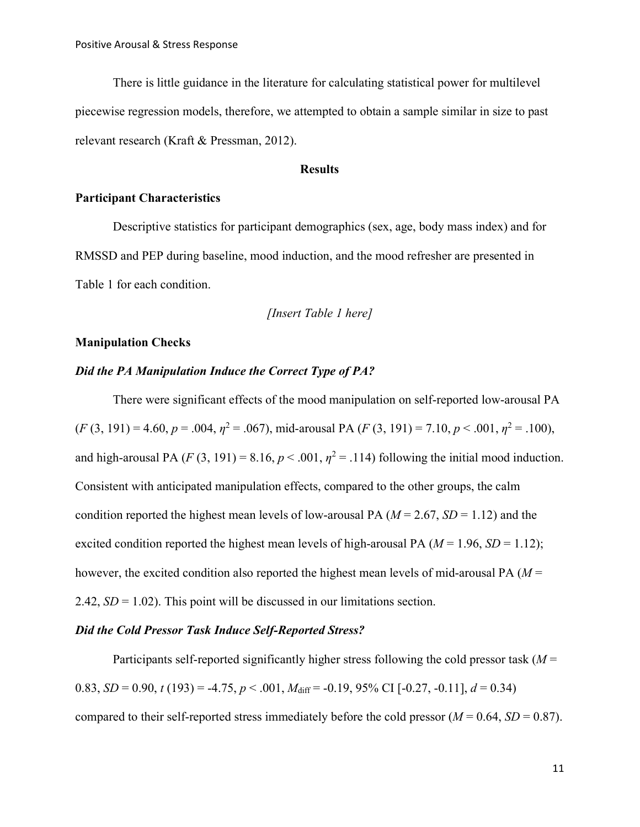There is little guidance in the literature for calculating statistical power for multilevel piecewise regression models, therefore, we attempted to obtain a sample similar in size to past relevant research (Kraft & Pressman, 2012).

# **Results**

### **Participant Characteristics**

Descriptive statistics for participant demographics (sex, age, body mass index) and for RMSSD and PEP during baseline, mood induction, and the mood refresher are presented in Table 1 for each condition.

*[Insert Table 1 here]*

# **Manipulation Checks**

# *Did the PA Manipulation Induce the Correct Type of PA?*

There were significant effects of the mood manipulation on self-reported low-arousal PA  $(F (3, 191) = 4.60, p = .004, \eta^2 = .067)$ , mid-arousal PA  $(F (3, 191) = 7.10, p < .001, \eta^2 = .100)$ , and high-arousal PA  $(F(3, 191) = 8.16, p < .001, \eta^2 = .114)$  following the initial mood induction. Consistent with anticipated manipulation effects, compared to the other groups, the calm condition reported the highest mean levels of low-arousal PA ( $M = 2.67$ ,  $SD = 1.12$ ) and the excited condition reported the highest mean levels of high-arousal PA ( $M = 1.96$ ,  $SD = 1.12$ ); however, the excited condition also reported the highest mean levels of mid-arousal PA (*M* = 2.42, *SD* = 1.02). This point will be discussed in our limitations section.

### *Did the Cold Pressor Task Induce Self-Reported Stress?*

Participants self-reported significantly higher stress following the cold pressor task (*M* = 0.83, *SD* = 0.90, *t* (193) = -4.75, *p* < .001,  $M_{\text{diff}}$  = -0.19, 95% CI [-0.27, -0.11],  $d = 0.34$ ) compared to their self-reported stress immediately before the cold pressor  $(M = 0.64, SD = 0.87)$ .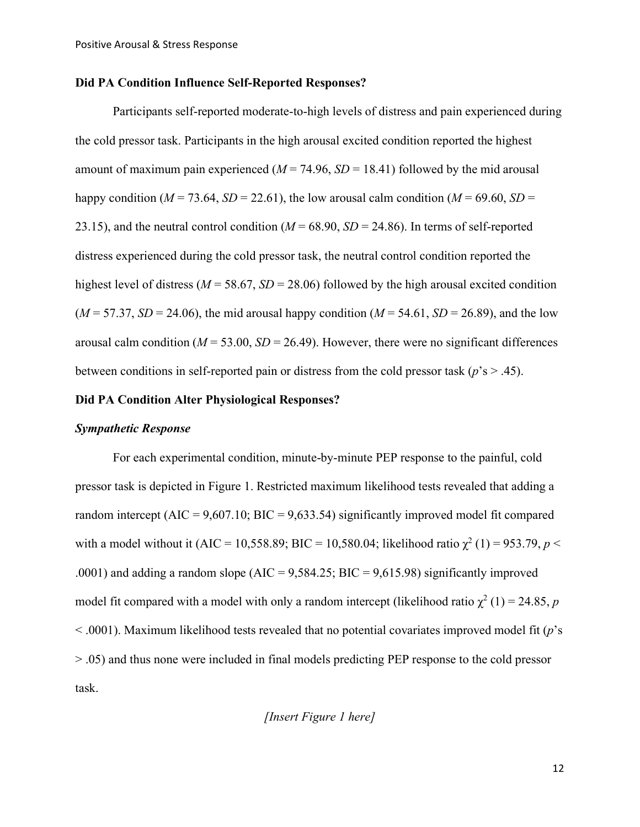# **Did PA Condition Influence Self-Reported Responses?**

Participants self-reported moderate-to-high levels of distress and pain experienced during the cold pressor task. Participants in the high arousal excited condition reported the highest amount of maximum pain experienced  $(M = 74.96, SD = 18.41)$  followed by the mid arousal happy condition ( $M = 73.64$ ,  $SD = 22.61$ ), the low arousal calm condition ( $M = 69.60$ ,  $SD =$ 23.15), and the neutral control condition  $(M = 68.90, SD = 24.86)$ . In terms of self-reported distress experienced during the cold pressor task, the neutral control condition reported the highest level of distress ( $M = 58.67$ ,  $SD = 28.06$ ) followed by the high arousal excited condition  $(M = 57.37, SD = 24.06)$ , the mid arousal happy condition  $(M = 54.61, SD = 26.89)$ , and the low arousal calm condition ( $M = 53.00$ ,  $SD = 26.49$ ). However, there were no significant differences between conditions in self-reported pain or distress from the cold pressor task (*p*'s > .45).

# **Did PA Condition Alter Physiological Responses?**

#### *Sympathetic Response*

For each experimental condition, minute-by-minute PEP response to the painful, cold pressor task is depicted in Figure 1. Restricted maximum likelihood tests revealed that adding a random intercept  $(AIC = 9,607.10; BIC = 9,633.54)$  significantly improved model fit compared with a model without it (AIC = 10,558.89; BIC = 10,580.04; likelihood ratio  $\chi^2$  (1) = 953.79, *p* < .0001) and adding a random slope (AIC =  $9,584.25$ ; BIC =  $9,615.98$ ) significantly improved model fit compared with a model with only a random intercept (likelihood ratio  $\chi^2$  (1) = 24.85, *p* < .0001). Maximum likelihood tests revealed that no potential covariates improved model fit (*p*'s > .05) and thus none were included in final models predicting PEP response to the cold pressor task.

*[Insert Figure 1 here]*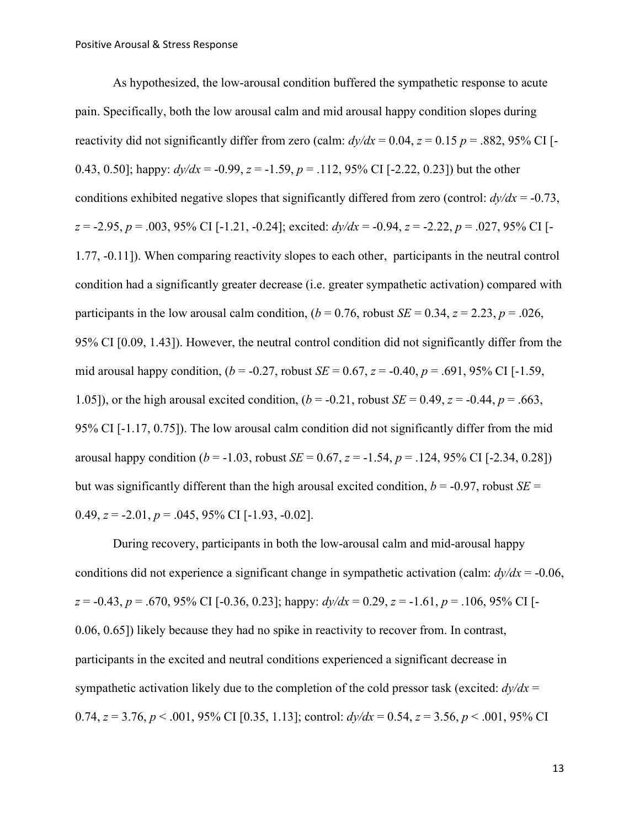As hypothesized, the low-arousal condition buffered the sympathetic response to acute pain. Specifically, both the low arousal calm and mid arousal happy condition slopes during reactivity did not significantly differ from zero (calm:  $dy/dx = 0.04$ ,  $z = 0.15$   $p = .882,95\%$  CI [-0.43, 0.50]; happy:  $dy/dx = -0.99$ ,  $z = -1.59$ ,  $p = .112$ , 95% CI [-2.22, 0.23]) but the other conditions exhibited negative slopes that significantly differed from zero (control: *dy/dx* = -0.73, *z* = -2.95, *p* = .003, 95% CI [-1.21, -0.24]; excited: *dy/dx* = -0.94, *z* = -2.22, *p* = .027, 95% CI [- 1.77, -0.11]). When comparing reactivity slopes to each other, participants in the neutral control condition had a significantly greater decrease (i.e. greater sympathetic activation) compared with participants in the low arousal calm condition,  $(b = 0.76$ , robust  $SE = 0.34$ ,  $z = 2.23$ ,  $p = .026$ , 95% CI [0.09, 1.43]). However, the neutral control condition did not significantly differ from the mid arousal happy condition,  $(b = -0.27$ , robust  $SE = 0.67$ ,  $z = -0.40$ ,  $p = .691$ , 95% CI [-1.59, 1.05]), or the high arousal excited condition,  $(b = -0.21$ , robust  $SE = 0.49$ ,  $z = -0.44$ ,  $p = .663$ , 95% CI [-1.17, 0.75]). The low arousal calm condition did not significantly differ from the mid arousal happy condition ( $b = -1.03$ , robust  $SE = 0.67$ ,  $z = -1.54$ ,  $p = .124$ , 95% CI [-2.34, 0.28]) but was significantly different than the high arousal excited condition,  $b = -0.97$ , robust  $SE =$ 0.49,  $z = -2.01$ ,  $p = .045$ , 95% CI [-1.93, -0.02].

During recovery, participants in both the low-arousal calm and mid-arousal happy conditions did not experience a significant change in sympathetic activation (calm: *dy/dx* = -0.06,  $z = -0.43$ ,  $p = .670$ , 95% CI [-0.36, 0.23]; happy:  $dy/dx = 0.29$ ,  $z = -1.61$ ,  $p = .106$ , 95% CI [-0.06, 0.65]) likely because they had no spike in reactivity to recover from. In contrast, participants in the excited and neutral conditions experienced a significant decrease in sympathetic activation likely due to the completion of the cold pressor task (excited:  $dy/dx =$ 0.74, *z* = 3.76, *p* < .001, 95% CI [0.35, 1.13]; control: *dy/dx* = 0.54, *z* = 3.56, *p* < .001, 95% CI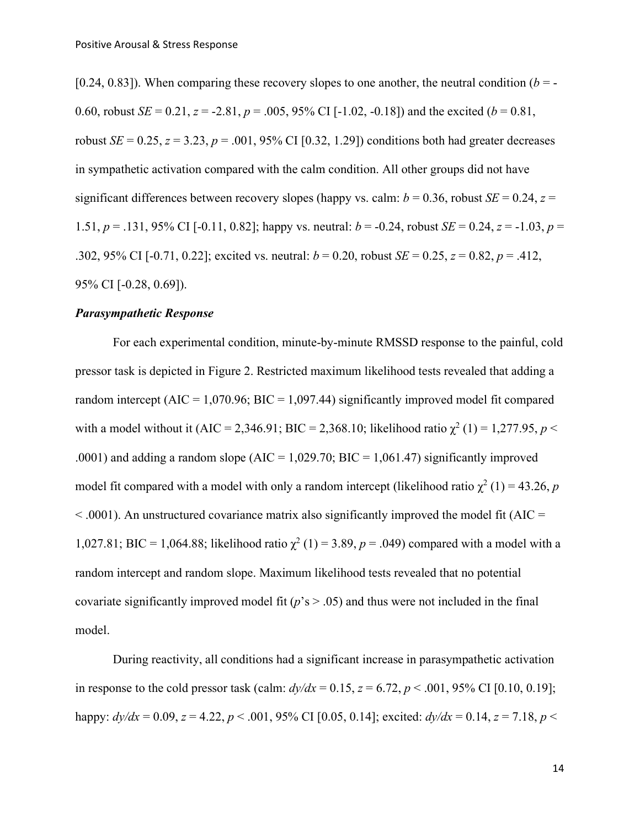[0.24, 0.83]). When comparing these recovery slopes to one another, the neutral condition  $(b = -1)$ 0.60, robust *SE* = 0.21, *z* = -2.81, *p* = .005, 95% CI [-1.02, -0.18]) and the excited (*b* = 0.81, robust *SE* = 0.25, *z* = 3.23, *p* = .001, 95% CI [0.32, 1.29]) conditions both had greater decreases in sympathetic activation compared with the calm condition. All other groups did not have significant differences between recovery slopes (happy vs. calm:  $b = 0.36$ , robust *SE* = 0.24, *z* = 1.51, *p* = .131, 95% CI [-0.11, 0.82]; happy vs. neutral: *b* = -0.24, robust *SE* = 0.24, *z* = -1.03, *p* = .302, 95% CI [-0.71, 0.22]; excited vs. neutral: *b* = 0.20, robust *SE* = 0.25, *z* = 0.82, *p* = .412, 95% CI [-0.28, 0.69]).

#### *Parasympathetic Response*

For each experimental condition, minute-by-minute RMSSD response to the painful, cold pressor task is depicted in Figure 2. Restricted maximum likelihood tests revealed that adding a random intercept ( $AIC = 1,070.96$ ;  $BIC = 1,097.44$ ) significantly improved model fit compared with a model without it (AIC = 2,346.91; BIC = 2,368.10; likelihood ratio  $\chi^2$  (1) = 1,277.95, *p* < .0001) and adding a random slope ( $AIC = 1,029.70$ ;  $BIC = 1,061.47$ ) significantly improved model fit compared with a model with only a random intercept (likelihood ratio  $\chi^2$  (1) = 43.26, *p*  $< .0001$ ). An unstructured covariance matrix also significantly improved the model fit (AIC = 1,027.81; BIC = 1,064.88; likelihood ratio  $\chi^2$  (1) = 3.89, *p* = .049) compared with a model with a random intercept and random slope. Maximum likelihood tests revealed that no potential covariate significantly improved model fit  $(p's > .05)$  and thus were not included in the final model.

During reactivity, all conditions had a significant increase in parasympathetic activation in response to the cold pressor task (calm:  $dy/dx = 0.15$ ,  $z = 6.72$ ,  $p < .001$ , 95% CI [0.10, 0.19]; happy: *dy/dx* = 0.09, *z* = 4.22, *p* < .001, 95% CI [0.05, 0.14]; excited: *dy/dx* = 0.14, *z* = 7.18, *p* <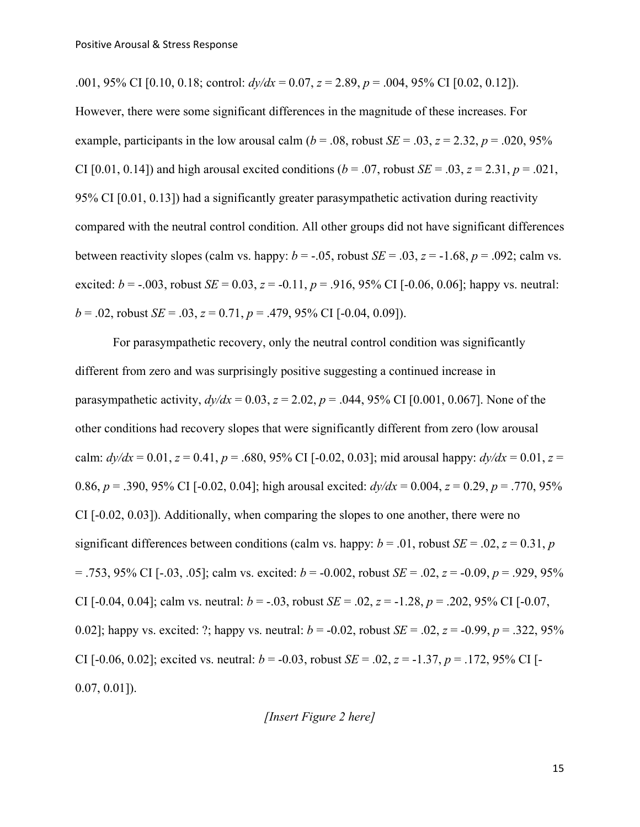.001, 95% CI [0.10, 0.18; control:  $dy/dx = 0.07$ ,  $z = 2.89$ ,  $p = .004$ , 95% CI [0.02, 0.12]). However, there were some significant differences in the magnitude of these increases. For example, participants in the low arousal calm ( $b = .08$ , robust *SE* = .03,  $z = 2.32$ ,  $p = .020, 95\%$ CI [0.01, 0.14]) and high arousal excited conditions  $(b = .07,$  robust  $SE = .03, z = 2.31, p = .021$ , 95% CI [0.01, 0.13]) had a significantly greater parasympathetic activation during reactivity compared with the neutral control condition. All other groups did not have significant differences between reactivity slopes (calm vs. happy:  $b = -.05$ , robust  $SE = .03$ ,  $z = -1.68$ ,  $p = .092$ ; calm vs. excited:  $b = -0.003$ , robust  $SE = 0.03$ ,  $z = -0.11$ ,  $p = .916$ ,  $95\%$  CI [-0.06, 0.06]; happy vs. neutral:  $b = .02$ , robust  $SE = .03$ ,  $z = 0.71$ ,  $p = .479$ , 95% CI [-0.04, 0.09]).

For parasympathetic recovery, only the neutral control condition was significantly different from zero and was surprisingly positive suggesting a continued increase in parasympathetic activity,  $dy/dx = 0.03$ ,  $z = 2.02$ ,  $p = .044$ , 95% CI [0.001, 0.067]. None of the other conditions had recovery slopes that were significantly different from zero (low arousal calm:  $dy/dx = 0.01$ ,  $z = 0.41$ ,  $p = .680$ , 95% CI [-0.02, 0.03]; mid arousal happy:  $dy/dx = 0.01$ ,  $z =$ 0.86,  $p = 0.390$ , 95% CI [-0.02, 0.04]; high arousal excited:  $dy/dx = 0.004$ ,  $z = 0.29$ ,  $p = 0.770$ , 95% CI [-0.02, 0.03]). Additionally, when comparing the slopes to one another, there were no significant differences between conditions (calm vs. happy:  $b = .01$ , robust  $SE = .02$ ,  $z = 0.31$ ,  $p$ = .753, 95% CI [-.03, .05]; calm vs. excited: *b* = -0.002, robust *SE* = .02, *z* = -0.09, *p* = .929, 95% CI [-0.04, 0.04]; calm vs. neutral:  $b = -.03$ , robust  $SE = .02$ ,  $z = -1.28$ ,  $p = .202$ , 95% CI [-0.07, 0.02]; happy vs. excited: ?; happy vs. neutral:  $b = -0.02$ , robust  $SE = .02$ ,  $z = -0.99$ ,  $p = .322, 95%$ CI [-0.06, 0.02]; excited vs. neutral:  $b = -0.03$ , robust  $SE = .02$ ,  $z = -1.37$ ,  $p = .172$ , 95% CI [-0.07, 0.01]).

*[Insert Figure 2 here]*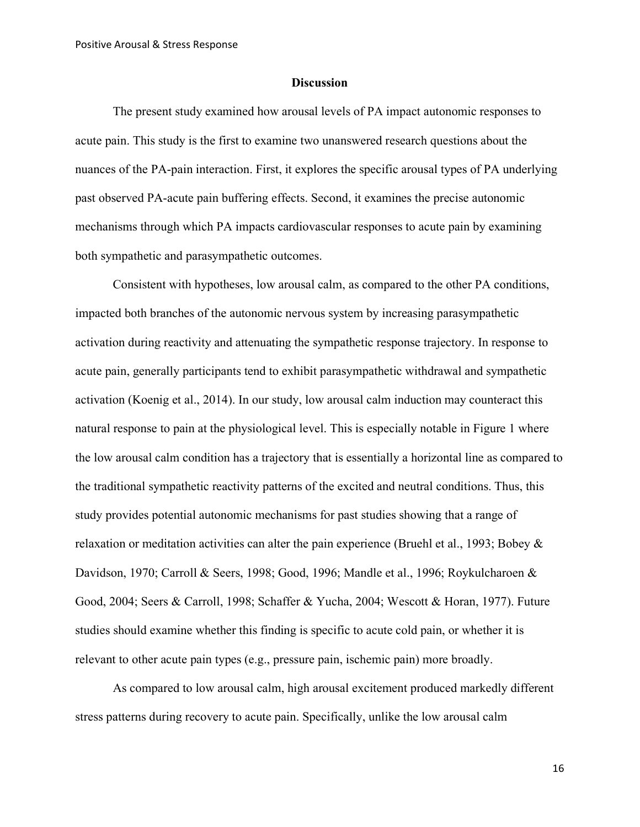#### **Discussion**

The present study examined how arousal levels of PA impact autonomic responses to acute pain. This study is the first to examine two unanswered research questions about the nuances of the PA-pain interaction. First, it explores the specific arousal types of PA underlying past observed PA-acute pain buffering effects. Second, it examines the precise autonomic mechanisms through which PA impacts cardiovascular responses to acute pain by examining both sympathetic and parasympathetic outcomes.

Consistent with hypotheses, low arousal calm, as compared to the other PA conditions, impacted both branches of the autonomic nervous system by increasing parasympathetic activation during reactivity and attenuating the sympathetic response trajectory. In response to acute pain, generally participants tend to exhibit parasympathetic withdrawal and sympathetic activation (Koenig et al., 2014). In our study, low arousal calm induction may counteract this natural response to pain at the physiological level. This is especially notable in Figure 1 where the low arousal calm condition has a trajectory that is essentially a horizontal line as compared to the traditional sympathetic reactivity patterns of the excited and neutral conditions. Thus, this study provides potential autonomic mechanisms for past studies showing that a range of relaxation or meditation activities can alter the pain experience (Bruehl et al., 1993; Bobey & Davidson, 1970; Carroll & Seers, 1998; Good, 1996; Mandle et al., 1996; Roykulcharoen & Good, 2004; Seers & Carroll, 1998; Schaffer & Yucha, 2004; Wescott & Horan, 1977). Future studies should examine whether this finding is specific to acute cold pain, or whether it is relevant to other acute pain types (e.g., pressure pain, ischemic pain) more broadly.

As compared to low arousal calm, high arousal excitement produced markedly different stress patterns during recovery to acute pain. Specifically, unlike the low arousal calm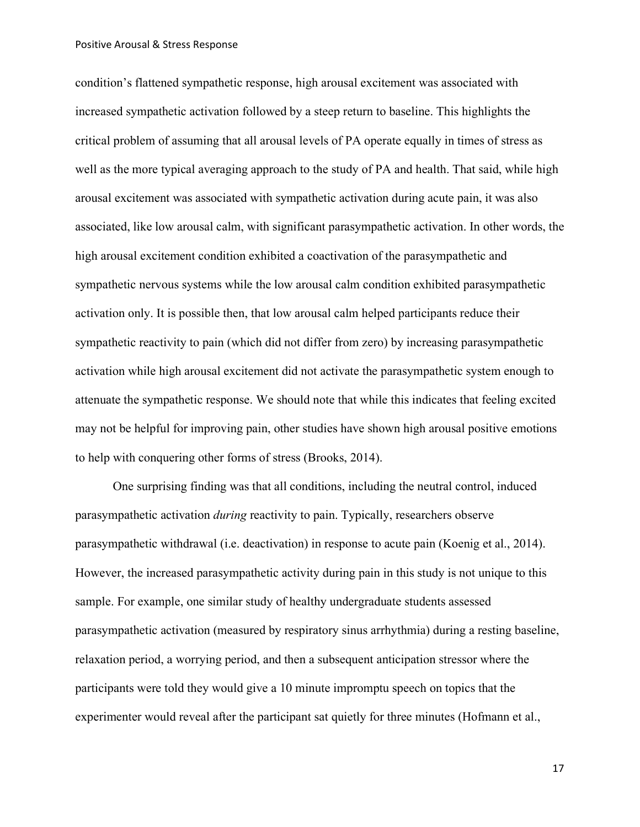condition's flattened sympathetic response, high arousal excitement was associated with increased sympathetic activation followed by a steep return to baseline. This highlights the critical problem of assuming that all arousal levels of PA operate equally in times of stress as well as the more typical averaging approach to the study of PA and health. That said, while high arousal excitement was associated with sympathetic activation during acute pain, it was also associated, like low arousal calm, with significant parasympathetic activation. In other words, the high arousal excitement condition exhibited a coactivation of the parasympathetic and sympathetic nervous systems while the low arousal calm condition exhibited parasympathetic activation only. It is possible then, that low arousal calm helped participants reduce their sympathetic reactivity to pain (which did not differ from zero) by increasing parasympathetic activation while high arousal excitement did not activate the parasympathetic system enough to attenuate the sympathetic response. We should note that while this indicates that feeling excited may not be helpful for improving pain, other studies have shown high arousal positive emotions to help with conquering other forms of stress (Brooks, 2014).

One surprising finding was that all conditions, including the neutral control, induced parasympathetic activation *during* reactivity to pain. Typically, researchers observe parasympathetic withdrawal (i.e. deactivation) in response to acute pain (Koenig et al., 2014). However, the increased parasympathetic activity during pain in this study is not unique to this sample. For example, one similar study of healthy undergraduate students assessed parasympathetic activation (measured by respiratory sinus arrhythmia) during a resting baseline, relaxation period, a worrying period, and then a subsequent anticipation stressor where the participants were told they would give a 10 minute impromptu speech on topics that the experimenter would reveal after the participant sat quietly for three minutes (Hofmann et al.,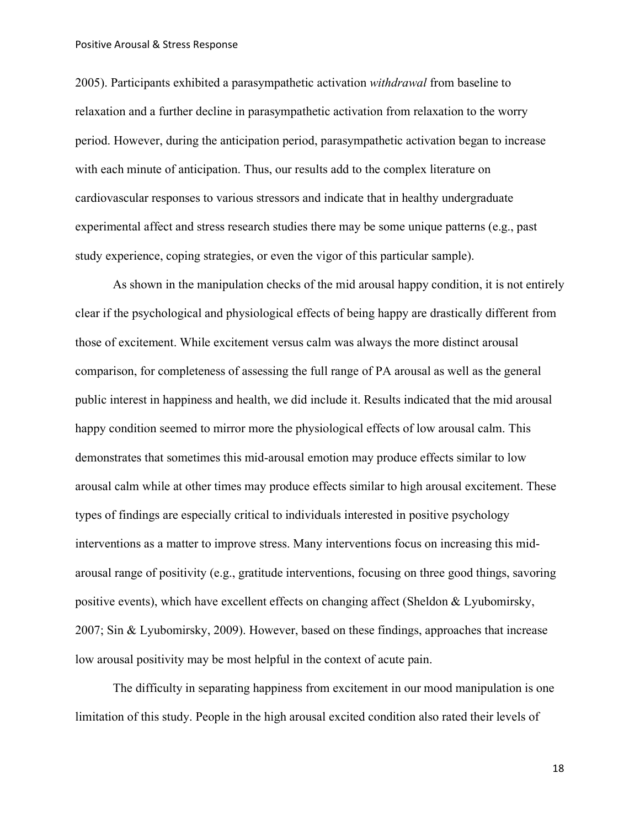2005). Participants exhibited a parasympathetic activation *withdrawal* from baseline to relaxation and a further decline in parasympathetic activation from relaxation to the worry period. However, during the anticipation period, parasympathetic activation began to increase with each minute of anticipation. Thus, our results add to the complex literature on cardiovascular responses to various stressors and indicate that in healthy undergraduate experimental affect and stress research studies there may be some unique patterns (e.g., past study experience, coping strategies, or even the vigor of this particular sample).

As shown in the manipulation checks of the mid arousal happy condition, it is not entirely clear if the psychological and physiological effects of being happy are drastically different from those of excitement. While excitement versus calm was always the more distinct arousal comparison, for completeness of assessing the full range of PA arousal as well as the general public interest in happiness and health, we did include it. Results indicated that the mid arousal happy condition seemed to mirror more the physiological effects of low arousal calm. This demonstrates that sometimes this mid-arousal emotion may produce effects similar to low arousal calm while at other times may produce effects similar to high arousal excitement. These types of findings are especially critical to individuals interested in positive psychology interventions as a matter to improve stress. Many interventions focus on increasing this midarousal range of positivity (e.g., gratitude interventions, focusing on three good things, savoring positive events), which have excellent effects on changing affect (Sheldon & Lyubomirsky, 2007; Sin & Lyubomirsky, 2009). However, based on these findings, approaches that increase low arousal positivity may be most helpful in the context of acute pain.

The difficulty in separating happiness from excitement in our mood manipulation is one limitation of this study. People in the high arousal excited condition also rated their levels of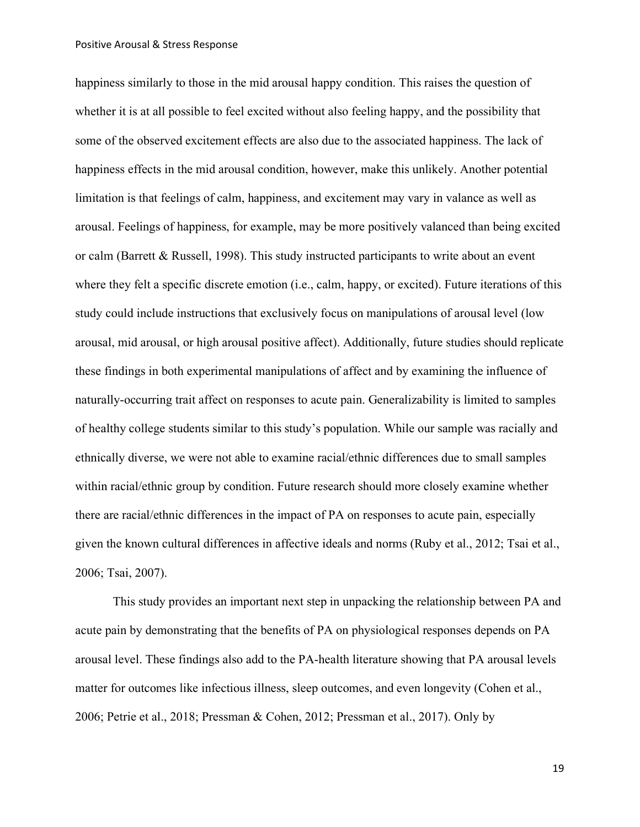happiness similarly to those in the mid arousal happy condition. This raises the question of whether it is at all possible to feel excited without also feeling happy, and the possibility that some of the observed excitement effects are also due to the associated happiness. The lack of happiness effects in the mid arousal condition, however, make this unlikely. Another potential limitation is that feelings of calm, happiness, and excitement may vary in valance as well as arousal. Feelings of happiness, for example, may be more positively valanced than being excited or calm (Barrett & Russell, 1998). This study instructed participants to write about an event where they felt a specific discrete emotion (i.e., calm, happy, or excited). Future iterations of this study could include instructions that exclusively focus on manipulations of arousal level (low arousal, mid arousal, or high arousal positive affect). Additionally, future studies should replicate these findings in both experimental manipulations of affect and by examining the influence of naturally-occurring trait affect on responses to acute pain. Generalizability is limited to samples of healthy college students similar to this study's population. While our sample was racially and ethnically diverse, we were not able to examine racial/ethnic differences due to small samples within racial/ethnic group by condition. Future research should more closely examine whether there are racial/ethnic differences in the impact of PA on responses to acute pain, especially given the known cultural differences in affective ideals and norms (Ruby et al., 2012; Tsai et al., 2006; Tsai, 2007).

This study provides an important next step in unpacking the relationship between PA and acute pain by demonstrating that the benefits of PA on physiological responses depends on PA arousal level. These findings also add to the PA-health literature showing that PA arousal levels matter for outcomes like infectious illness, sleep outcomes, and even longevity (Cohen et al., 2006; Petrie et al., 2018; Pressman & Cohen, 2012; Pressman et al., 2017). Only by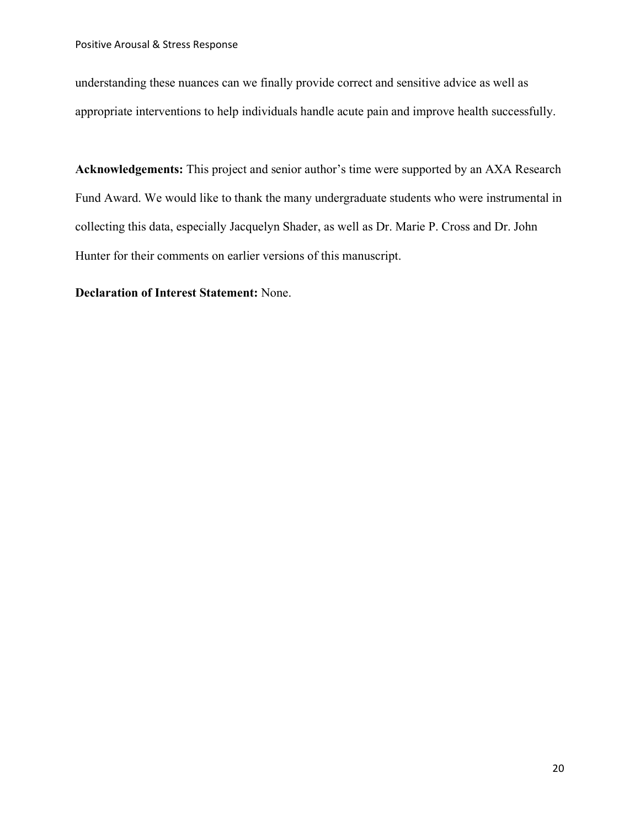understanding these nuances can we finally provide correct and sensitive advice as well as appropriate interventions to help individuals handle acute pain and improve health successfully.

**Acknowledgements:** This project and senior author's time were supported by an AXA Research Fund Award. We would like to thank the many undergraduate students who were instrumental in collecting this data, especially Jacquelyn Shader, as well as Dr. Marie P. Cross and Dr. John Hunter for their comments on earlier versions of this manuscript.

**Declaration of Interest Statement:** None.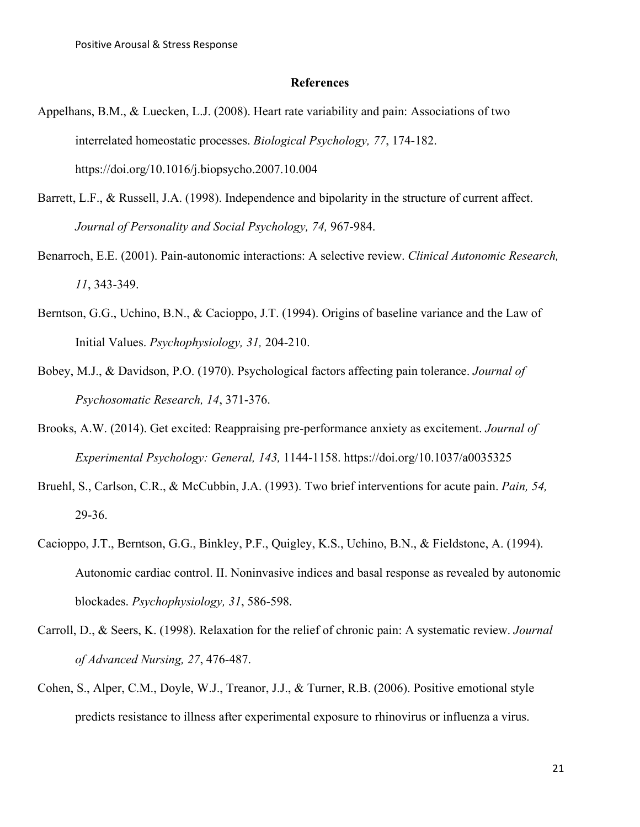#### **References**

- Appelhans, B.M., & Luecken, L.J. (2008). Heart rate variability and pain: Associations of two interrelated homeostatic processes. *Biological Psychology, 77*, 174-182. https://doi.org/10.1016/j.biopsycho.2007.10.004
- Barrett, L.F., & Russell, J.A. (1998). Independence and bipolarity in the structure of current affect. *Journal of Personality and Social Psychology, 74,* 967-984.
- Benarroch, E.E. (2001). Pain-autonomic interactions: A selective review. *Clinical Autonomic Research, 11*, 343-349.
- Berntson, G.G., Uchino, B.N., & Cacioppo, J.T. (1994). Origins of baseline variance and the Law of Initial Values. *Psychophysiology, 31,* 204-210.
- Bobey, M.J., & Davidson, P.O. (1970). Psychological factors affecting pain tolerance. *Journal of Psychosomatic Research, 14*, 371-376.
- Brooks, A.W. (2014). Get excited: Reappraising pre-performance anxiety as excitement. *Journal of Experimental Psychology: General, 143,* 1144-1158. https://doi.org/10.1037/a0035325
- Bruehl, S., Carlson, C.R., & McCubbin, J.A. (1993). Two brief interventions for acute pain. *Pain, 54,* 29-36.
- Cacioppo, J.T., Berntson, G.G., Binkley, P.F., Quigley, K.S., Uchino, B.N., & Fieldstone, A. (1994). Autonomic cardiac control. II. Noninvasive indices and basal response as revealed by autonomic blockades. *Psychophysiology, 31*, 586-598.
- Carroll, D., & Seers, K. (1998). Relaxation for the relief of chronic pain: A systematic review. *Journal of Advanced Nursing, 27*, 476-487.
- Cohen, S., Alper, C.M., Doyle, W.J., Treanor, J.J., & Turner, R.B. (2006). Positive emotional style predicts resistance to illness after experimental exposure to rhinovirus or influenza a virus.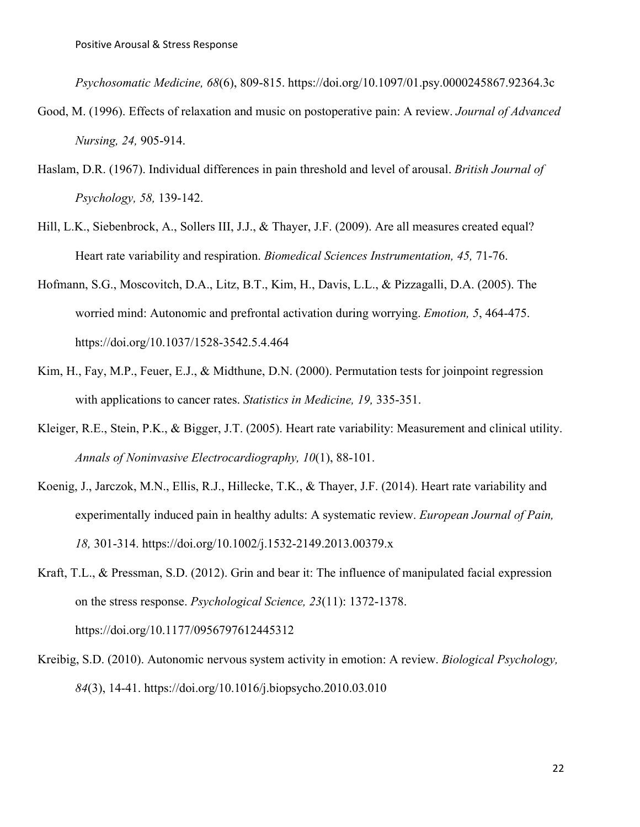*Psychosomatic Medicine, 68*(6), 809-815. https://doi.org/10.1097/01.psy.0000245867.92364.3c

- Good, M. (1996). Effects of relaxation and music on postoperative pain: A review. *Journal of Advanced Nursing, 24,* 905-914.
- Haslam, D.R. (1967). Individual differences in pain threshold and level of arousal. *British Journal of Psychology, 58,* 139-142.
- Hill, L.K., Siebenbrock, A., Sollers III, J.J., & Thayer, J.F. (2009). Are all measures created equal? Heart rate variability and respiration. *Biomedical Sciences Instrumentation, 45,* 71-76.
- Hofmann, S.G., Moscovitch, D.A., Litz, B.T., Kim, H., Davis, L.L., & Pizzagalli, D.A. (2005). The worried mind: Autonomic and prefrontal activation during worrying. *Emotion, 5*, 464-475. https://doi.org/10.1037/1528-3542.5.4.464
- Kim, H., Fay, M.P., Feuer, E.J., & Midthune, D.N. (2000). Permutation tests for joinpoint regression with applications to cancer rates. *Statistics in Medicine, 19,* 335-351.
- Kleiger, R.E., Stein, P.K., & Bigger, J.T. (2005). Heart rate variability: Measurement and clinical utility. *Annals of Noninvasive Electrocardiography, 10*(1), 88-101.
- Koenig, J., Jarczok, M.N., Ellis, R.J., Hillecke, T.K., & Thayer, J.F. (2014). Heart rate variability and experimentally induced pain in healthy adults: A systematic review. *European Journal of Pain, 18,* 301-314. https://doi.org/10.1002/j.1532-2149.2013.00379.x
- Kraft, T.L., & Pressman, S.D. (2012). Grin and bear it: The influence of manipulated facial expression on the stress response. *Psychological Science, 23*(11): 1372-1378. https://doi.org/10.1177/0956797612445312
- Kreibig, S.D. (2010). Autonomic nervous system activity in emotion: A review. *Biological Psychology, 84*(3), 14-41. https://doi.org/10.1016/j.biopsycho.2010.03.010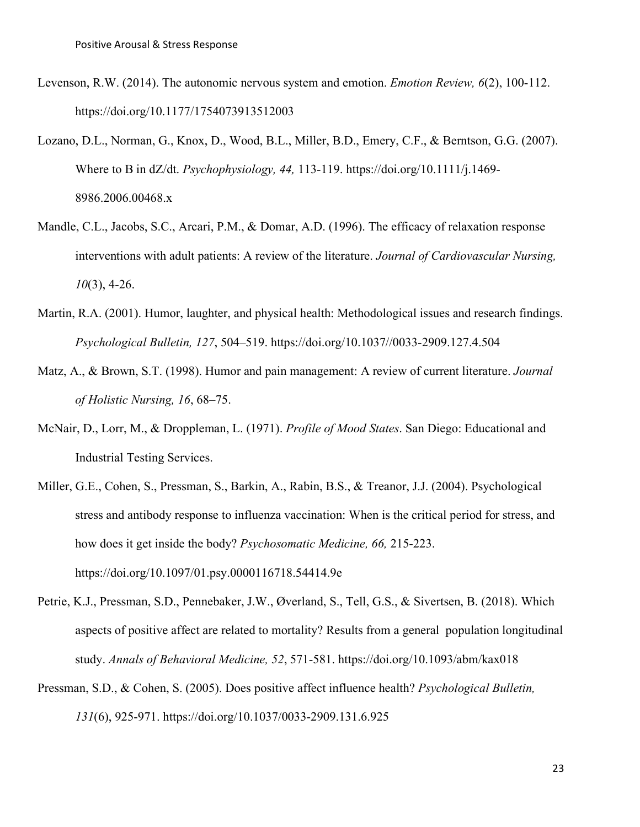- Levenson, R.W. (2014). The autonomic nervous system and emotion. *Emotion Review, 6*(2), 100-112. https://doi.org/10.1177/1754073913512003
- Lozano, D.L., Norman, G., Knox, D., Wood, B.L., Miller, B.D., Emery, C.F., & Berntson, G.G. (2007). Where to B in dZ/dt. *Psychophysiology, 44,* 113-119. https://doi.org/10.1111/j.1469- 8986.2006.00468.x
- Mandle, C.L., Jacobs, S.C., Arcari, P.M., & Domar, A.D. (1996). The efficacy of relaxation response interventions with adult patients: A review of the literature. *Journal of Cardiovascular Nursing, 10*(3), 4-26.
- Martin, R.A. (2001). Humor, laughter, and physical health: Methodological issues and research findings. *Psychological Bulletin, 127*, 504–519. https://doi.org/10.1037//0033-2909.127.4.504
- Matz, A., & Brown, S.T. (1998). Humor and pain management: A review of current literature. *Journal of Holistic Nursing, 16*, 68–75.
- McNair, D., Lorr, M., & Droppleman, L. (1971). *Profile of Mood States*. San Diego: Educational and Industrial Testing Services.
- Miller, G.E., Cohen, S., Pressman, S., Barkin, A., Rabin, B.S., & Treanor, J.J. (2004). Psychological stress and antibody response to influenza vaccination: When is the critical period for stress, and how does it get inside the body? *Psychosomatic Medicine, 66,* 215-223. https://doi.org/10.1097/01.psy.0000116718.54414.9e
- Petrie, K.J., Pressman, S.D., Pennebaker, J.W., Øverland, S., Tell, G.S., & Sivertsen, B. (2018). Which aspects of positive affect are related to mortality? Results from a general population longitudinal study. *Annals of Behavioral Medicine, 52*, 571-581. https://doi.org/10.1093/abm/kax018
- Pressman, S.D., & Cohen, S. (2005). Does positive affect influence health? *Psychological Bulletin, 131*(6), 925-971. https://doi.org/10.1037/0033-2909.131.6.925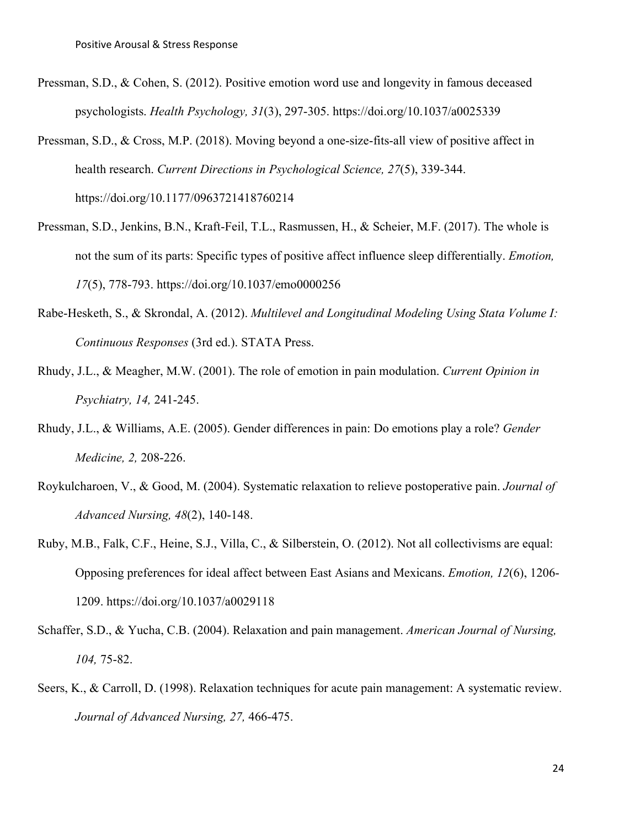Pressman, S.D., & Cohen, S. (2012). Positive emotion word use and longevity in famous deceased psychologists. *Health Psychology, 31*(3), 297-305. https://doi.org/10.1037/a0025339

Pressman, S.D., & Cross, M.P. (2018). Moving beyond a one-size-fits-all view of positive affect in health research. *Current Directions in Psychological Science, 27*(5), 339-344. https://doi.org/10.1177/0963721418760214

- Pressman, S.D., Jenkins, B.N., Kraft-Feil, T.L., Rasmussen, H., & Scheier, M.F. (2017). The whole is not the sum of its parts: Specific types of positive affect influence sleep differentially. *Emotion, 17*(5), 778-793. https://doi.org/10.1037/emo0000256
- Rabe-Hesketh, S., & Skrondal, A. (2012). *Multilevel and Longitudinal Modeling Using Stata Volume I: Continuous Responses* (3rd ed.). STATA Press.
- Rhudy, J.L., & Meagher, M.W. (2001). The role of emotion in pain modulation. *Current Opinion in Psychiatry, 14,* 241-245.
- Rhudy, J.L., & Williams, A.E. (2005). Gender differences in pain: Do emotions play a role? *Gender Medicine, 2,* 208-226.
- Roykulcharoen, V., & Good, M. (2004). Systematic relaxation to relieve postoperative pain. *Journal of Advanced Nursing, 48*(2), 140-148.
- Ruby, M.B., Falk, C.F., Heine, S.J., Villa, C., & Silberstein, O. (2012). Not all collectivisms are equal: Opposing preferences for ideal affect between East Asians and Mexicans. *Emotion, 12*(6), 1206- 1209. https://doi.org/10.1037/a0029118
- Schaffer, S.D., & Yucha, C.B. (2004). Relaxation and pain management. *American Journal of Nursing, 104,* 75-82.
- Seers, K., & Carroll, D. (1998). Relaxation techniques for acute pain management: A systematic review. *Journal of Advanced Nursing, 27,* 466-475.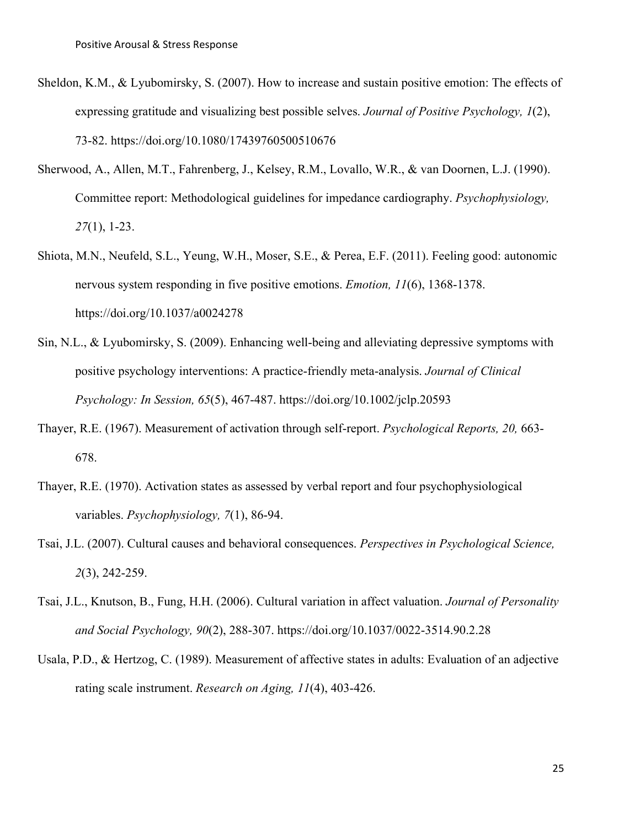- Sheldon, K.M., & Lyubomirsky, S. (2007). How to increase and sustain positive emotion: The effects of expressing gratitude and visualizing best possible selves. *Journal of Positive Psychology, 1*(2), 73-82. https://doi.org/10.1080/17439760500510676
- Sherwood, A., Allen, M.T., Fahrenberg, J., Kelsey, R.M., Lovallo, W.R., & van Doornen, L.J. (1990). Committee report: Methodological guidelines for impedance cardiography. *Psychophysiology, 27*(1), 1-23.
- Shiota, M.N., Neufeld, S.L., Yeung, W.H., Moser, S.E., & Perea, E.F. (2011). Feeling good: autonomic nervous system responding in five positive emotions. *Emotion, 11*(6), 1368-1378. https://doi.org/10.1037/a0024278
- Sin, N.L., & Lyubomirsky, S. (2009). Enhancing well-being and alleviating depressive symptoms with positive psychology interventions: A practice-friendly meta-analysis. *Journal of Clinical Psychology: In Session, 65*(5), 467-487. https://doi.org/10.1002/jclp.20593
- Thayer, R.E. (1967). Measurement of activation through self-report. *Psychological Reports, 20,* 663- 678.
- Thayer, R.E. (1970). Activation states as assessed by verbal report and four psychophysiological variables. *Psychophysiology, 7*(1), 86-94.
- Tsai, J.L. (2007). Cultural causes and behavioral consequences. *Perspectives in Psychological Science, 2*(3), 242-259.
- Tsai, J.L., Knutson, B., Fung, H.H. (2006). Cultural variation in affect valuation. *Journal of Personality and Social Psychology, 90*(2), 288-307. https://doi.org/10.1037/0022-3514.90.2.28
- Usala, P.D., & Hertzog, C. (1989). Measurement of affective states in adults: Evaluation of an adjective rating scale instrument. *Research on Aging, 11*(4), 403-426.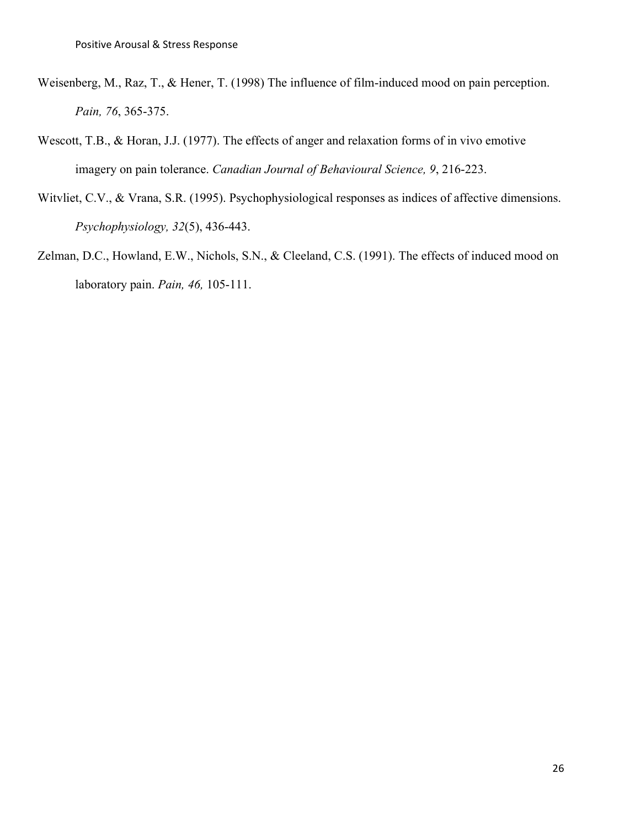- Weisenberg, M., Raz, T., & Hener, T. (1998) The influence of film-induced mood on pain perception. *Pain, 76*, 365-375.
- Wescott, T.B., & Horan, J.J. (1977). The effects of anger and relaxation forms of in vivo emotive imagery on pain tolerance. *Canadian Journal of Behavioural Science, 9*, 216-223.
- Witvliet, C.V., & Vrana, S.R. (1995). Psychophysiological responses as indices of affective dimensions. *Psychophysiology, 32*(5), 436-443.
- Zelman, D.C., Howland, E.W., Nichols, S.N., & Cleeland, C.S. (1991). The effects of induced mood on laboratory pain. *Pain, 46,* 105-111.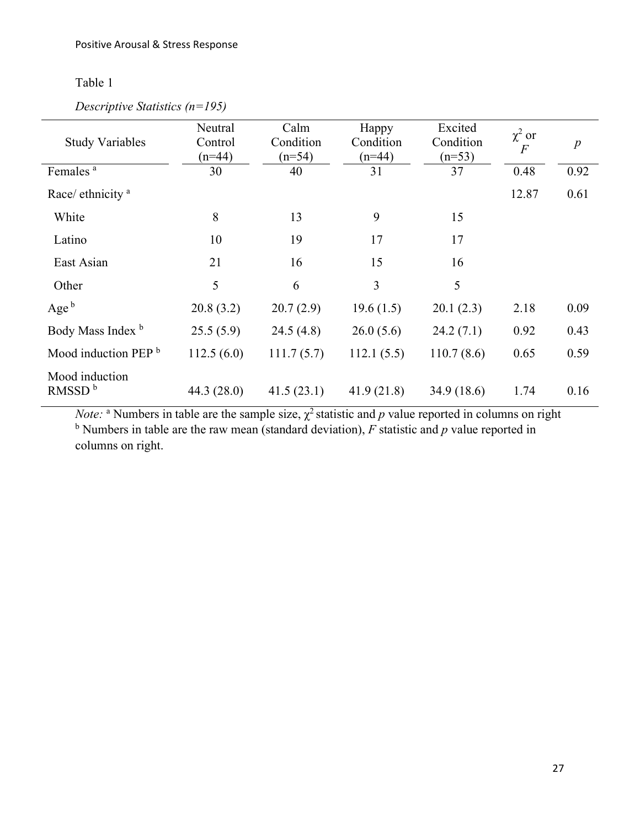# Table 1

| Descriptive Statistics ( $n=195$ ) |  |  |
|------------------------------------|--|--|
|------------------------------------|--|--|

| <b>Study Variables</b>               | Neutral<br>Control<br>$(n=44)$ | Calm<br>Condition<br>$(n=54)$ | Happy<br>Condition<br>$(n=44)$ | Excited<br>Condition<br>$(n=53)$ | $\chi^2$ or<br>$\overline{F}$ | $\boldsymbol{p}$ |
|--------------------------------------|--------------------------------|-------------------------------|--------------------------------|----------------------------------|-------------------------------|------------------|
| Females <sup>a</sup>                 | 30                             | 40                            | 31                             | 37                               | 0.48                          | 0.92             |
| Race/ ethnicity <sup>a</sup>         |                                |                               |                                |                                  | 12.87                         | 0.61             |
| White                                | 8                              | 13                            | 9                              | 15                               |                               |                  |
| Latino                               | 10                             | 19                            | 17                             | 17                               |                               |                  |
| East Asian                           | 21                             | 16                            | 15                             | 16                               |                               |                  |
| Other                                | 5                              | 6                             | 3                              | 5                                |                               |                  |
| Age $b$                              | 20.8(3.2)                      | 20.7(2.9)                     | 19.6(1.5)                      | 20.1(2.3)                        | 2.18                          | 0.09             |
| Body Mass Index <sup>b</sup>         | 25.5(5.9)                      | 24.5(4.8)                     | 26.0(5.6)                      | 24.2(7.1)                        | 0.92                          | 0.43             |
| Mood induction PEP <sup>b</sup>      | 112.5(6.0)                     | 111.7(5.7)                    | 112.1(5.5)                     | 110.7(8.6)                       | 0.65                          | 0.59             |
| Mood induction<br>RMSSD <sup>b</sup> | 44.3(28.0)                     | 41.5(23.1)                    | 41.9(21.8)                     | 34.9 (18.6)                      | 1.74                          | 0.16             |

*Note:* <sup>a</sup> Numbers in table are the sample size,  $\chi^2$  statistic and *p* value reported in columns on right b Numbers in table are the raw mean (standard deviation), *F* statistic and *p* value reported in columns on right.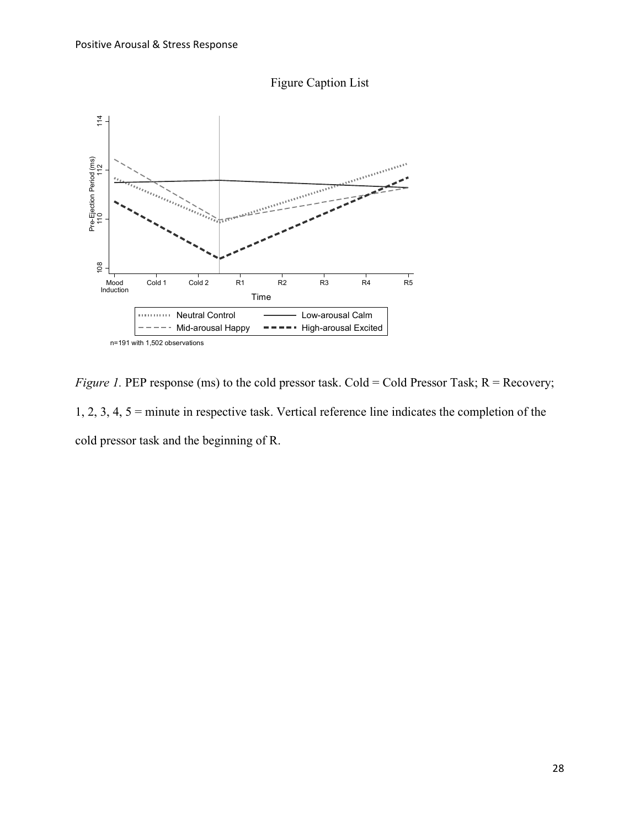



*Figure 1.* PEP response (ms) to the cold pressor task. Cold = Cold Pressor Task; R = Recovery; 1, 2, 3, 4, 5 = minute in respective task. Vertical reference line indicates the completion of the